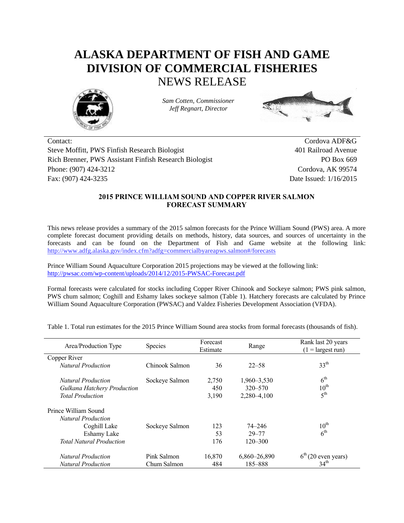## **ALASKA DEPARTMENT OF FISH AND GAME DIVISION OF COMMERCIAL FISHERIES** NEWS RELEASE



*Sam Cotten, Commissioner Jeff Regnart, Director*



Contact: Cordova ADF&G Steve Moffitt, PWS Finfish Research Biologist 401 Railroad Avenue Rich Brenner, PWS Assistant Finfish Research Biologist PO Box 669 Phone: (907) 424-3212 Cordova, AK 99574 Fax: (907) 424-3235 Date Issued: 1/16/2015

## **2015 PRINCE WILLIAM SOUND AND COPPER RIVER SALMON FORECAST SUMMARY**

This news release provides a summary of the 2015 salmon forecasts for the Prince William Sound (PWS) area. A more complete forecast document providing details on methods, history, data sources, and sources of uncertainty in the forecasts and can be found on the Department of Fish and Game website at the following link: <http://www.adfg.alaska.gov/index.cfm?adfg=commercialbyareapws.salmon#/forecasts>

Prince William Sound Aquaculture Corporation 2015 projections may be viewed at the following link: <http://pwsac.com/wp-content/uploads/2014/12/2015-PWSAC-Forecast.pdf>

Formal forecasts were calculated for stocks including Copper River Chinook and Sockeye salmon; PWS pink salmon, PWS chum salmon; Coghill and Eshamy lakes sockeye salmon (Table 1). Hatchery forecasts are calculated by Prince William Sound Aquaculture Corporation (PWSAC) and Valdez Fisheries Development Association (VFDA).

| Area/Production Type               | <b>Species</b> | Forecast<br>Estimate | Range        | Rank last 20 years<br>$(1 = \text{largest run})$ |  |
|------------------------------------|----------------|----------------------|--------------|--------------------------------------------------|--|
| Copper River                       |                |                      |              |                                                  |  |
| <b>Natural Production</b>          | Chinook Salmon | 36                   | $22 - 58$    | 33 <sup>th</sup>                                 |  |
| <b>Natural Production</b>          | Sockeye Salmon | 2,750                | 1,960–3,530  | $6^{\text{th}}$                                  |  |
| <b>Gulkana Hatchery Production</b> |                | 450                  | 320–570      | $10^{\text{th}}$                                 |  |
| <b>Total Production</b>            |                | 3,190                | 2,280-4,100  | 5 <sup>th</sup>                                  |  |
| Prince William Sound               |                |                      |              |                                                  |  |
| <b>Natural Production</b>          |                |                      |              |                                                  |  |
| Coghill Lake                       | Sockeye Salmon | 123                  | 74–246       | $10^{\text{th}}$                                 |  |
| Eshamy Lake                        |                | 53                   | $29 - 77$    | 6 <sup>th</sup>                                  |  |
| <b>Total Natural Production</b>    |                | 176                  | $120 - 300$  |                                                  |  |
| <b>Natural Production</b>          | Pink Salmon    | 16.870               | 6,860-26,890 | $6th$ (20 even years)                            |  |
| <b>Natural Production</b>          | Chum Salmon    | 484                  | 185-888      | 34 <sup>th</sup>                                 |  |

Table 1. Total run estimates for the 2015 Prince William Sound area stocks from formal forecasts (thousands of fish).